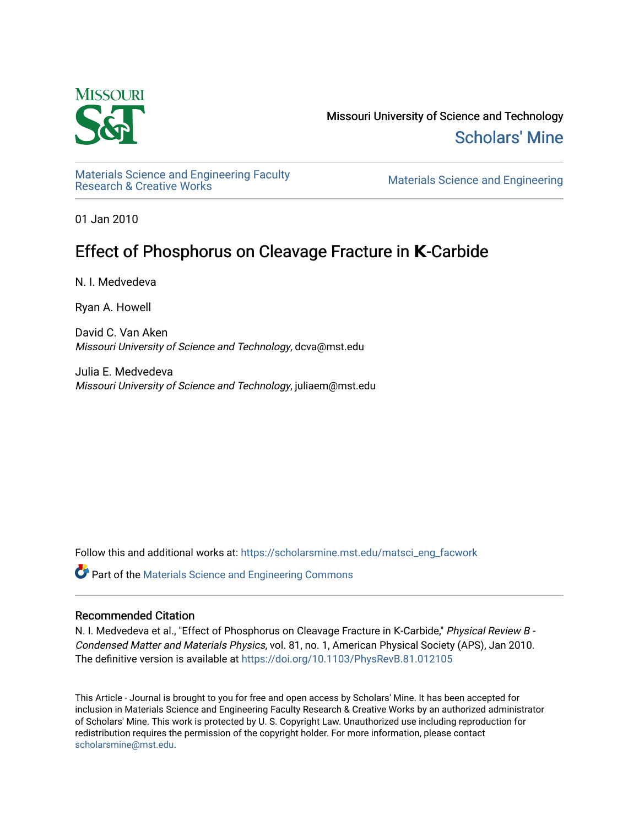

Missouri University of Science and Technology [Scholars' Mine](https://scholarsmine.mst.edu/) 

Materials Science and Engineering Faculty<br>Research & Creative Works

Materials Science and Engineering

01 Jan 2010

## Effect of Phosphorus on Cleavage Fracture in **K**-Carbide

N. I. Medvedeva

Ryan A. Howell

David C. Van Aken Missouri University of Science and Technology, dcva@mst.edu

Julia E. Medvedeva Missouri University of Science and Technology, juliaem@mst.edu

Follow this and additional works at: [https://scholarsmine.mst.edu/matsci\\_eng\\_facwork](https://scholarsmine.mst.edu/matsci_eng_facwork?utm_source=scholarsmine.mst.edu%2Fmatsci_eng_facwork%2F455&utm_medium=PDF&utm_campaign=PDFCoverPages) 

**C** Part of the Materials Science and Engineering Commons

## Recommended Citation

N. I. Medvedeva et al., "Effect of Phosphorus on Cleavage Fracture in Κ-Carbide," Physical Review B - Condensed Matter and Materials Physics, vol. 81, no. 1, American Physical Society (APS), Jan 2010. The definitive version is available at https://doi.org/10.1103/PhysRevB.81.012105

This Article - Journal is brought to you for free and open access by Scholars' Mine. It has been accepted for inclusion in Materials Science and Engineering Faculty Research & Creative Works by an authorized administrator of Scholars' Mine. This work is protected by U. S. Copyright Law. Unauthorized use including reproduction for redistribution requires the permission of the copyright holder. For more information, please contact [scholarsmine@mst.edu.](mailto:scholarsmine@mst.edu)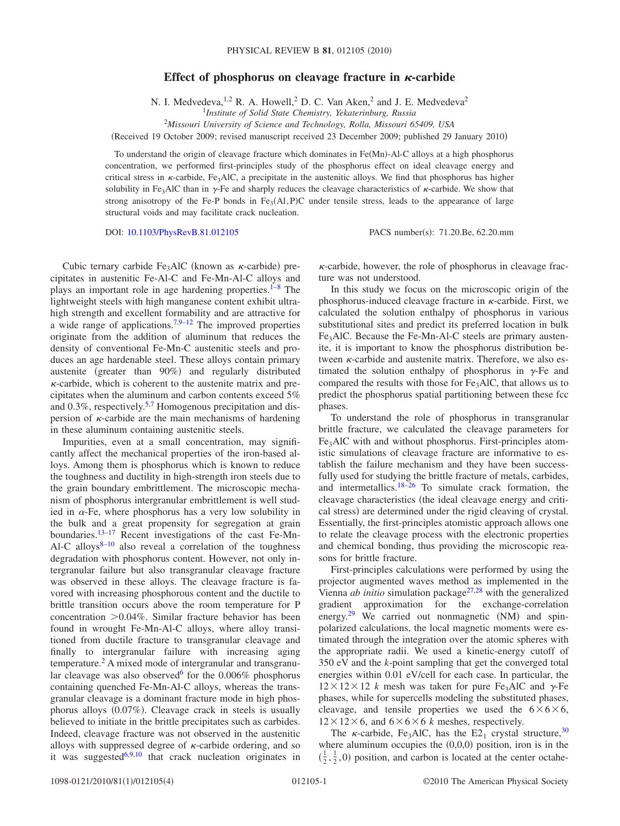## Effect of phosphorus on cleavage fracture in  $\kappa$ -carbide

N. I. Medvedeva, <sup>1,2</sup> R. A. Howell, <sup>2</sup> D. C. Van Aken, <sup>2</sup> and J. E. Medvedeva<sup>2</sup>

1 *Institute of Solid State Chemistry, Yekaterinburg, Russia*

2 *Missouri University of Science and Technology, Rolla, Missouri 65409, USA*

Received 19 October 2009; revised manuscript received 23 December 2009; published 29 January 2010-

To understand the origin of cleavage fracture which dominates in Fe(Mn)-Al-C alloys at a high phosphorus concentration, we performed first-principles study of the phosphorus effect on ideal cleavage energy and critical stress in  $\kappa$ -carbide, Fe<sub>3</sub>AlC, a precipitate in the austenitic alloys. We find that phosphorus has higher solubility in Fe<sub>3</sub>AlC than in  $\gamma$ -Fe and sharply reduces the cleavage characteristics of  $\kappa$ -carbide. We show that strong anisotropy of the Fe-P bonds in  $Fe<sub>3</sub>(Al, P)C$  under tensile stress, leads to the appearance of large structural voids and may facilitate crack nucleation.

DOI: [10.1103/PhysRevB.81.012105](http://dx.doi.org/10.1103/PhysRevB.81.012105)

PACS number(s): 71.20.Be, 62.20.mm

Cubic ternary carbide  $Fe<sub>3</sub>AlC$  (known as  $\kappa$ -carbide) precipitates in austenitic Fe-Al-C and Fe-Mn-Al-C alloys and plays an important role in age hardening properties. $1-8$  The lightweight steels with high manganese content exhibit ultrahigh strength and excellent formability and are attractive for a wide range of applications.<sup>7,[9–](#page-4-3)[12](#page-4-4)</sup> The improved properties originate from the addition of aluminum that reduces the density of conventional Fe-Mn-C austenitic steels and produces an age hardenable steel. These alloys contain primary austenite (greater than 90%) and regularly distributed  $\kappa$ -carbide, which is coherent to the austenite matrix and precipitates when the aluminum and carbon contents exceed 5% and  $0.3\%$ , respectively.<sup>5,[7](#page-4-2)</sup> Homogenous precipitation and dispersion of  $\kappa$ -carbide are the main mechanisms of hardening in these aluminum containing austenitic steels.

Impurities, even at a small concentration, may significantly affect the mechanical properties of the iron-based alloys. Among them is phosphorus which is known to reduce the toughness and ductility in high-strength iron steels due to the grain boundary embrittlement. The microscopic mechanism of phosphorus intergranular embrittlement is well studied in  $\alpha$ -Fe, where phosphorus has a very low solubility in the bulk and a great propensity for segregation at grain boundaries.<sup>13–[17](#page-4-7)</sup> Recent investigations of the cast Fe-Mn-Al-C alloys $8-10$  also reveal a correlation of the toughness degradation with phosphorus content. However, not only intergranular failure but also transgranular cleavage fracture was observed in these alloys. The cleavage fracture is favored with increasing phosphorous content and the ductile to brittle transition occurs above the room temperature for P concentration  $>0.04\%$ . Similar fracture behavior has been found in wrought Fe-Mn-Al-C alloys, where alloy transitioned from ductile fracture to transgranular cleavage and finally to intergranular failure with increasing aging temperature[.2](#page-4-9) A mixed mode of intergranular and transgranular cleavage was also observed<sup>6</sup> for the  $0.006\%$  phosphorus containing quenched Fe-Mn-Al-C alloys, whereas the transgranular cleavage is a dominant fracture mode in high phosphorus alloys (0.07%). Cleavage crack in steels is usually believed to initiate in the brittle precipitates such as carbides. Indeed, cleavage fracture was not observed in the austenitic alloys with suppressed degree of  $\kappa$ -carbide ordering, and so it was suggested<sup>6[,9](#page-4-3)[,10](#page-4-8)</sup> that crack nucleation originates in

 $\kappa$ -carbide, however, the role of phosphorus in cleavage fracture was not understood.

In this study we focus on the microscopic origin of the phosphorus-induced cleavage fracture in  $\kappa$ -carbide. First, we calculated the solution enthalpy of phosphorus in various substitutional sites and predict its preferred location in bulk Fe3AlC. Because the Fe-Mn-Al-C steels are primary austenite, it is important to know the phosphorus distribution between  $\kappa$ -carbide and austenite matrix. Therefore, we also estimated the solution enthalpy of phosphorus in  $\gamma$ -Fe and compared the results with those for Fe3AlC, that allows us to predict the phosphorus spatial partitioning between these fcc phases.

To understand the role of phosphorus in transgranular brittle fracture, we calculated the cleavage parameters for Fe3AlC with and without phosphorus. First-principles atomistic simulations of cleavage fracture are informative to establish the failure mechanism and they have been successfully used for studying the brittle fracture of metals, carbides, and intermetallics.<sup>18[–26](#page-4-12)</sup> To simulate crack formation, the cleavage characteristics (the ideal cleavage energy and critical stress) are determined under the rigid cleaving of crystal. Essentially, the first-principles atomistic approach allows one to relate the cleavage process with the electronic properties and chemical bonding, thus providing the microscopic reasons for brittle fracture.

First-principles calculations were performed by using the projector augmented waves method as implemented in the Vienna *ab initio* simulation package<sup>27[,28](#page-4-14)</sup> with the generalized gradient approximation for the exchange-correlation energy.<sup>29</sup> We carried out nonmagnetic (NM) and spinpolarized calculations, the local magnetic moments were estimated through the integration over the atomic spheres with the appropriate radii. We used a kinetic-energy cutoff of 350 eV and the *k*-point sampling that get the converged total energies within 0.01 eV/cell for each case. In particular, the  $12 \times 12 \times 12$  *k* mesh was taken for pure Fe<sub>3</sub>AlC and  $\gamma$ -Fe phases, while for supercells modeling the substituted phases, cleavage, and tensile properties we used the  $6\times6\times6$ ,  $12 \times 12 \times 6$ , and  $6 \times 6 \times 6$  *k* meshes, respectively.

The  $\kappa$ -carbide, Fe<sub>3</sub>AlC, has the E<sub>21</sub> crystal structure,<sup>30</sup> where aluminum occupies the  $(0,0,0)$  position, iron is in the  $(\frac{1}{2}, \frac{1}{2}, 0)$  position, and carbon is located at the center octahe-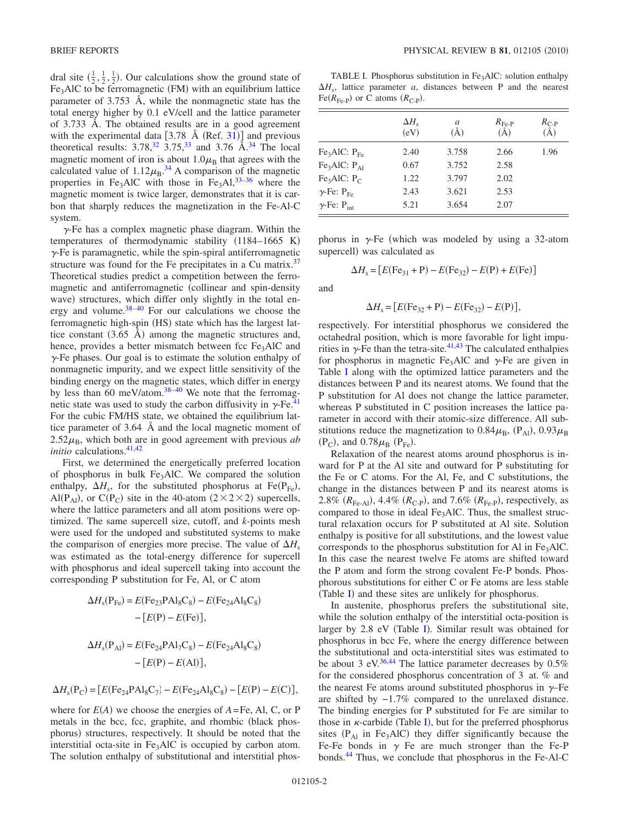dral site  $(\frac{1}{2}, \frac{1}{2}, \frac{1}{2})$ . Our calculations show the ground state of Fe<sub>3</sub>AlC to be ferromagnetic (FM) with an equilibrium lattice parameter of 3.753 Å, while the nonmagnetic state has the total energy higher by 0.1 eV/cell and the lattice parameter of 3.733 Å. The obtained results are in a good agreement with the experimental data  $[3.78 \text{ Å } (\text{Ref. } 31)]$  $[3.78 \text{ Å } (\text{Ref. } 31)]$  $[3.78 \text{ Å } (\text{Ref. } 31)]$  and previous theoretical results:  $3.78<sup>32</sup>$ ,  $3.75<sup>33</sup>$  and  $3.76$  Å.<sup>34</sup> The local magnetic moment of iron is about  $1.0\mu_B$  that agrees with the calculated value of  $1.12\mu_\text{B}^{34}$  $1.12\mu_\text{B}^{34}$  $1.12\mu_\text{B}^{34}$  A comparison of the magnetic properties in Fe<sub>3</sub>AlC with those in Fe<sub>3</sub>Al,<sup>33–[36](#page-4-21)</sup> where the magnetic moment is twice larger, demonstrates that it is carbon that sharply reduces the magnetization in the Fe-Al-C system.

 $\gamma$ -Fe has a complex magnetic phase diagram. Within the temperatures of thermodynamic stability  $(1184–1665 \text{ K})$  $\gamma$ -Fe is paramagnetic, while the spin-spiral antiferromagnetic structure was found for the Fe precipitates in a Cu matrix. $37$ Theoretical studies predict a competition between the ferromagnetic and antiferromagnetic (collinear and spin-density wave) structures, which differ only slightly in the total energy and volume[.38](#page-4-23)[–40](#page-4-24) For our calculations we choose the ferromagnetic high-spin (HS) state which has the largest lattice constant  $(3.65 \text{ Å})$  among the magnetic structures and, hence, provides a better mismatch between fcc  $Fe<sub>3</sub>AIC$  and  $\gamma$ -Fe phases. Our goal is to estimate the solution enthalpy of nonmagnetic impurity, and we expect little sensitivity of the binding energy on the magnetic states, which differ in energy by less than 60 meV/atom.<sup>38[–40](#page-4-24)</sup> We note that the ferromagnetic state was used to study the carbon diffusivity in  $\gamma$ -Fe.<sup>41</sup> For the cubic FM/HS state, we obtained the equilibrium lattice parameter of 3.64 Å and the local magnetic moment of  $2.52\mu_B$ , which both are in good agreement with previous *ab initio* calculations.<sup>41,[42](#page-4-26)</sup>

First, we determined the energetically preferred location of phosphorus in bulk Fe<sub>3</sub>AlC. We compared the solution enthalpy,  $\Delta H_s$ , for the substituted phosphorus at Fe(P<sub>Fe</sub>), Al(P<sub>Al</sub>), or C(P<sub>C</sub>) site in the 40-atom ( $2 \times 2 \times 2$ ) supercells, where the lattice parameters and all atom positions were optimized. The same supercell size, cutoff, and *k*-points mesh were used for the undoped and substituted systems to make the comparison of energies more precise. The value of  $\Delta H_s$ was estimated as the total-energy difference for supercell with phosphorus and ideal supercell taking into account the corresponding P substitution for Fe, Al, or C atom

$$
\Delta H_s(P_{Fe}) = E(Fe_{23}PAl_8C_8) - E(Fe_{24}Al_8C_8)
$$

$$
- [E(P) - E(Fe)],
$$

$$
\Delta H_s(P_{Al}) = E(Fe_{24}PAl_7C_8) - E(Fe_{24}Al_8C_8)
$$

$$
- [E(P) - E(Al)],
$$

$$
\Delta H_{\rm s}({\rm P}_{\rm C})= \big[ E({\rm Fe}_{24}{\rm PAI}_{8}{\rm C}_{7})-E({\rm Fe}_{24}{\rm Al}_{8}{\rm C}_{8})- \big[E({\rm P})-E({\rm C})\big],
$$

where for  $E(A)$  we choose the energies of  $A = Fe$ , Al, C, or P metals in the bcc, fcc, graphite, and rhombic (black phosphorus) structures, respectively. It should be noted that the interstitial octa-site in  $Fe<sub>3</sub>AIC$  is occupied by carbon atom. The solution enthalpy of substitutional and interstitial phos-

<span id="page-2-0"></span>TABLE I. Phosphorus substitution in  $Fe<sub>3</sub>AIC$ : solution enthalpy  $\Delta H_s$ , lattice parameter *a*, distances between P and the nearest  $Fe(R_{Fe-P})$  or C atoms  $(R_{C-P})$ .

|                                      | $\Delta H_s$<br>(eV) | a<br>Ā) | $R_{\text{Fe-P}}$<br>$\rm (\AA)$ | $R_{C-P}$<br>$\rm \AA$ |
|--------------------------------------|----------------------|---------|----------------------------------|------------------------|
| Fe <sub>3</sub> AIC: P <sub>Fe</sub> | 2.40                 | 3.758   | 2.66                             | 1.96                   |
| Fe <sub>3</sub> AIC: P <sub>A1</sub> | 0.67                 | 3.752   | 2.58                             |                        |
| Fe <sub>3</sub> AIC: P <sub>C</sub>  | 1.22                 | 3.797   | 2.02                             |                        |
| $\gamma$ -Fe: $P_{Fe}$               | 2.43                 | 3.621   | 2.53                             |                        |
| $\gamma$ -Fe: P <sub>int</sub>       | 5.21                 | 3.654   | 2.07                             |                        |

phorus in  $\gamma$ -Fe (which was modeled by using a 32-atom supercell) was calculated as

$$
\Delta H_{\rm s} = [E(\text{Fe}_{31} + \text{P}) - E(\text{Fe}_{32}) - E(\text{P}) + E(\text{Fe})]
$$

and

$$
\Delta H_{\rm s} = [E(\text{Fe}_{32} + \text{P}) - E(\text{Fe}_{32}) - E(\text{P})],
$$

respectively. For interstitial phosphorus we considered the octahedral position, which is more favorable for light impurities in  $\gamma$ -Fe than the tetra-site.<sup>41,[43](#page-4-27)</sup> The calculated enthalpies for phosphorus in magnetic  $Fe<sub>3</sub>AlC$  and  $\gamma$ -Fe are given in Table [I](#page-2-0) along with the optimized lattice parameters and the distances between P and its nearest atoms. We found that the P substitution for Al does not change the lattice parameter, whereas P substituted in C position increases the lattice parameter in accord with their atomic-size difference. All substitutions reduce the magnetization to  $0.84\mu_{\rm B}$ ,  $(P_{\rm Al})$ ,  $0.93\mu_{\rm B}$  $(P_C)$ , and  $0.78\mu_B$   $(P_{Fe})$ .

Relaxation of the nearest atoms around phosphorus is inward for P at the Al site and outward for P substituting for the Fe or C atoms. For the Al, Fe, and C substitutions, the change in the distances between P and its nearest atoms is 2.8%  $(R_{\text{Fe-Al}})$ , 4.4%  $(R_{\text{C-P}})$ , and 7.6%  $(R_{\text{Fe-P}})$ , respectively, as compared to those in ideal Fe<sub>3</sub>AlC. Thus, the smallest structural relaxation occurs for P substituted at Al site. Solution enthalpy is positive for all substitutions, and the lowest value corresponds to the phosphorus substitution for Al in Fe<sub>3</sub>AlC. In this case the nearest twelve Fe atoms are shifted toward the P atom and form the strong covalent Fe-P bonds. Phosphorous substitutions for either C or Fe atoms are less stable (Table [I](#page-2-0)) and these sites are unlikely for phosphorus.

In austenite, phosphorus prefers the substitutional site, while the solution enthalpy of the interstitial octa-position is larger by 2.8 eV (Table [I](#page-2-0)). Similar result was obtained for phosphorus in bcc Fe, where the energy difference between the substitutional and octa-interstitial sites was estimated to be about 3 eV.<sup>36,[44](#page-4-28)</sup> The lattice parameter decreases by  $0.5\%$ for the considered phosphorus concentration of 3 at. % and the nearest Fe atoms around substituted phosphorus in  $\gamma$ -Fe are shifted by −1.7% compared to the unrelaxed distance. The binding energies for P substituted for Fe are similar to those in  $\kappa$ -carbide (Table [I](#page-2-0)), but for the preferred phosphorus sites  $(P_{\text{Al}}$  in Fe<sub>3</sub>AlC) they differ significantly because the Fe-Fe bonds in  $\gamma$  Fe are much stronger than the Fe-P bonds[.44](#page-4-28) Thus, we conclude that phosphorus in the Fe-Al-C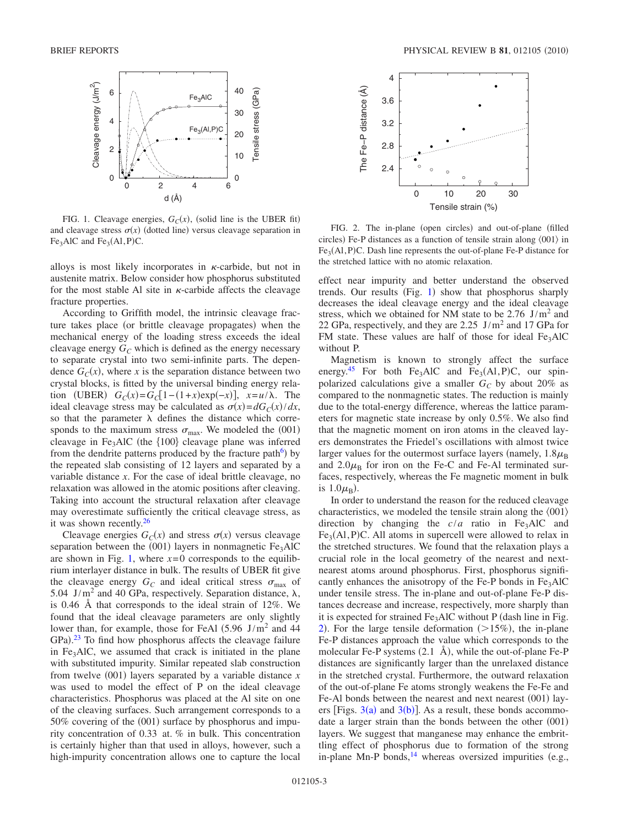<span id="page-3-0"></span>

FIG. 1. Cleavage energies,  $G_C(x)$ , (solid line is the UBER fit) and cleavage stress  $\sigma(x)$  (dotted line) versus cleavage separation in  $Fe<sub>3</sub>AIC$  and  $Fe<sub>3</sub>(Al, P)C$ .

alloys is most likely incorporates in  $\kappa$ -carbide, but not in austenite matrix. Below consider how phosphorus substituted for the most stable Al site in  $\kappa$ -carbide affects the cleavage fracture properties.

According to Griffith model, the intrinsic cleavage fracture takes place (or brittle cleavage propagates) when the mechanical energy of the loading stress exceeds the ideal cleavage energy  $G_C$  which is defined as the energy necessary to separate crystal into two semi-infinite parts. The dependence  $G_C(x)$ , where *x* is the separation distance between two crystal blocks, is fitted by the universal binding energy relation (UBER)  $G_C(x) = G_C[1 - (1 + x) \exp(-x)], x = u / \lambda.$  The ideal cleavage stress may be calculated as  $\sigma(x) = dG_C(x)/dx$ , so that the parameter  $\lambda$  defines the distance which corresponds to the maximum stress  $\sigma_{\text{max}}$ . We modeled the (001) cleavage in Fe<sub>3</sub>AlC (the  ${100}$  cleavage plane was inferred from the dendrite patterns produced by the fracture path<sup> $6$ </sup>) by the repeated slab consisting of 12 layers and separated by a variable distance *x*. For the case of ideal brittle cleavage, no relaxation was allowed in the atomic positions after cleaving. Taking into account the structural relaxation after cleavage may overestimate sufficiently the critical cleavage stress, as it was shown recently[.26](#page-4-12)

Cleavage energies  $G_C(x)$  and stress  $\sigma(x)$  versus cleavage separation between the  $(001)$  layers in nonmagnetic Fe<sub>3</sub>AlC are shown in Fig. [1,](#page-3-0) where  $x=0$  corresponds to the equilibrium interlayer distance in bulk. The results of UBER fit give the cleavage energy  $G_C$  and ideal critical stress  $\sigma_{\text{max}}$  of 5.04 J/m<sup>2</sup> and 40 GPa, respectively. Separation distance,  $\lambda$ , is 0.46 Å that corresponds to the ideal strain of 12%. We found that the ideal cleavage parameters are only slightly lower than, for example, those for FeAl  $(5.96 \text{ J/m}^2 \text{ and } 44$ GPa).<sup>[23](#page-4-29)</sup> To find how phosphorus affects the cleavage failure in Fe<sub>3</sub>AlC, we assumed that crack is initiated in the plane with substituted impurity. Similar repeated slab construction from twelve  $(001)$  layers separated by a variable distance *x* was used to model the effect of P on the ideal cleavage characteristics. Phosphorus was placed at the Al site on one of the cleaving surfaces. Such arrangement corresponds to a 50% covering of the (001) surface by phosphorus and impurity concentration of 0.33 at. % in bulk. This concentration is certainly higher than that used in alloys, however, such a high-impurity concentration allows one to capture the local

<span id="page-3-1"></span>

FIG. 2. The in-plane (open circles) and out-of-plane (filled circles) Fe-P distances as a function of tensile strain along  $\langle 001 \rangle$  in  $Fe<sub>3</sub>(Al, P)C$ . Dash line represents the out-of-plane Fe-P distance for the stretched lattice with no atomic relaxation.

effect near impurity and better understand the observed trends. Our results (Fig. [1](#page-3-0)) show that phosphorus sharply decreases the ideal cleavage energy and the ideal cleavage stress, which we obtained for NM state to be  $2.76$  J/m<sup>2</sup> and 22 GPa, respectively, and they are  $2.25$  J/m<sup>2</sup> and 17 GPa for FM state. These values are half of those for ideal  $Fe<sub>3</sub>AIC$ without P.

Magnetism is known to strongly affect the surface energy.<sup>[45](#page-4-30)</sup> For both Fe<sub>3</sub>AlC and Fe<sub>3</sub>(Al, P)C, our spinpolarized calculations give a smaller  $G_C$  by about 20% as compared to the nonmagnetic states. The reduction is mainly due to the total-energy difference, whereas the lattice parameters for magnetic state increase by only 0.5%. We also find that the magnetic moment on iron atoms in the cleaved layers demonstrates the Friedel's oscillations with almost twice larger values for the outermost surface layers (namely,  $1.8\mu_B$ ) and  $2.0\mu_B$  for iron on the Fe-C and Fe-Al terminated surfaces, respectively, whereas the Fe magnetic moment in bulk is  $1.0\mu_{\rm B}$ ).

In order to understand the reason for the reduced cleavage characteristics, we modeled the tensile strain along the  $\langle 001 \rangle$ direction by changing the  $c/a$  ratio in Fe<sub>3</sub>AlC and  $Fe<sub>3</sub>(Al, P)C$ . All atoms in supercell were allowed to relax in the stretched structures. We found that the relaxation plays a crucial role in the local geometry of the nearest and nextnearest atoms around phosphorus. First, phosphorus significantly enhances the anisotropy of the Fe-P bonds in  $Fe<sub>3</sub>AIC$ under tensile stress. The in-plane and out-of-plane Fe-P distances decrease and increase, respectively, more sharply than it is expected for strained  $Fe<sub>3</sub>AlC$  without P (dash line in Fig. [2](#page-3-1)). For the large tensile deformation  $(>15\%)$ , the in-plane Fe-P distances approach the value which corresponds to the molecular Fe-P systems  $(2.1 \text{ Å})$ , while the out-of-plane Fe-P distances are significantly larger than the unrelaxed distance in the stretched crystal. Furthermore, the outward relaxation of the out-of-plane Fe atoms strongly weakens the Fe-Fe and Fe-Al bonds between the nearest and next nearest (001) layers [Figs.  $3(a)$  $3(a)$  and  $3(b)$ ]. As a result, these bonds accommodate a larger strain than the bonds between the other (001) layers. We suggest that manganese may enhance the embrittling effect of phosphorus due to formation of the strong in-plane Mn-P bonds, $^{14}$  whereas oversized impurities (e.g.,